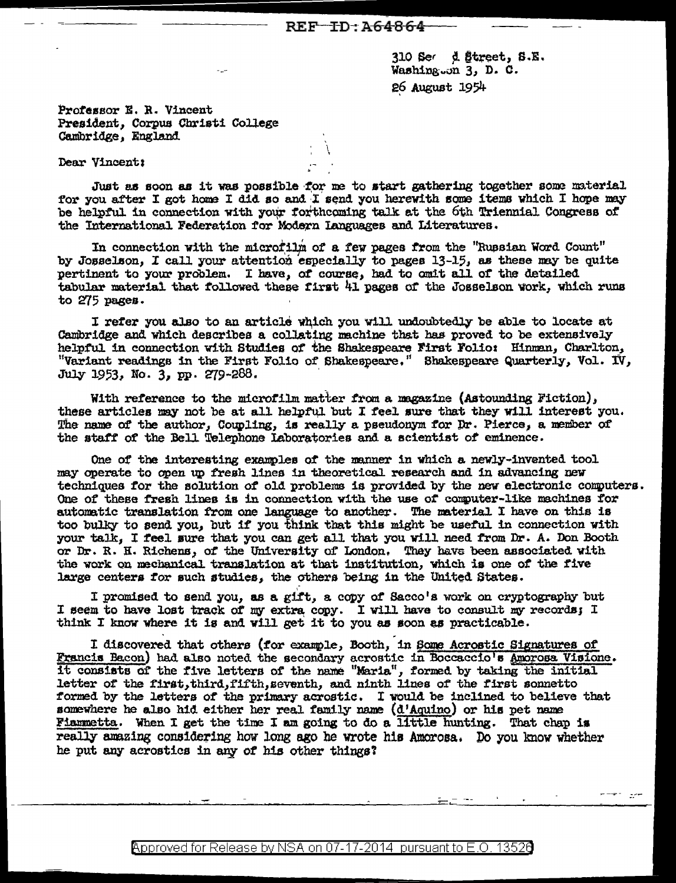$310$  Ser d Street, S.E. Washing.on 3, D. C. 26 August 1954

Professor E. R. Vincent President, Corpus Christi College<br>Cambridge, England

## Dear Vincent:

Just as soon as it was possible for me to start gathering together some material for you after I got home I did so and I send you herewith some items which I hope may be helpful in connection with your forthcoming talk at the 6th Triennial Congress of the International Federation for Modern Languages and Literatures.

In connection with the microfilm of a few pages from the "Russian Word Count" by Josselson, I call your attention especially to pages 13-15, as these may be quite pertinent to your problem. I have, of course, had to omit all of the detailed tabular material that followed these first 41 pages of the Josselson work, which runs to 275 pages.

I refer you also to an article which you will undoubtedly be able to locate at Cambridge and which describes a collating machine that has proved to be extensively helpful in connection with Studies of the Shakespeare First Folio: Hinman, Charlton, "Variant readings in the First Folio of Shakespeare." Shakespeare Quarterly, Vol. IV, July 1953, No. 3, pp. 279-288.

With reference to the microfilm matter from a magazine (Astounding Fiction), these articles may not be at all helpful but I feel sure that they will interest you. The name of the author, Coupling, is really a pseudonym for Dr. Pierce, a member of the staff of the Bell Telephone Laboratories and a scientist of eminence.

One of the interesting examples of the manner in which a newly-invented tool may operate to open up fresh lines in theoretical research and in advancing new techniques for the solution of old problems is provided by the new electronic computers. One of these fresh lines is in connection with the use of computer-like machines for automatic translation from one language to another. The material I have on this is too bulky to send you, but if you think that this might be useful in connection with your talk, I feel sure that you can get all that you will need from Dr. A. Don Booth or Dr. R. H. Richens, of the University of London. They have been associated with the work on mechanical translation at that institution, which is one of the five large centers for such studies, the others being in the United States.

I promised to send you, as a gift, a copy of Sacco's work on cryptography but I seem to have lost track of my extra copy. I will have to consult my records; I think I know where it is and will get it to you as soon as practicable.

I discovered that others (for example, Booth, in Some Acrostic Signatures of Francis Bacon) had also noted the secondary acrostic in Boccaccio's Amorosa Visione. it consists of the five letters of the name "Maria", formed by taking the initial letter of the first, third, fifth, seventh, and ninth lines of the first sonnetto formed by the letters of the primary acrostic. I would be inclined to believe that somewhere he also hid either her real family name (d'Aquino) or his pet name Fiammetta. When I get the time I am going to do a little hunting. That chap is really amazing considering how long ago he wrote his Amorosa. Do you know whether he put any acrostics in any of his other things?